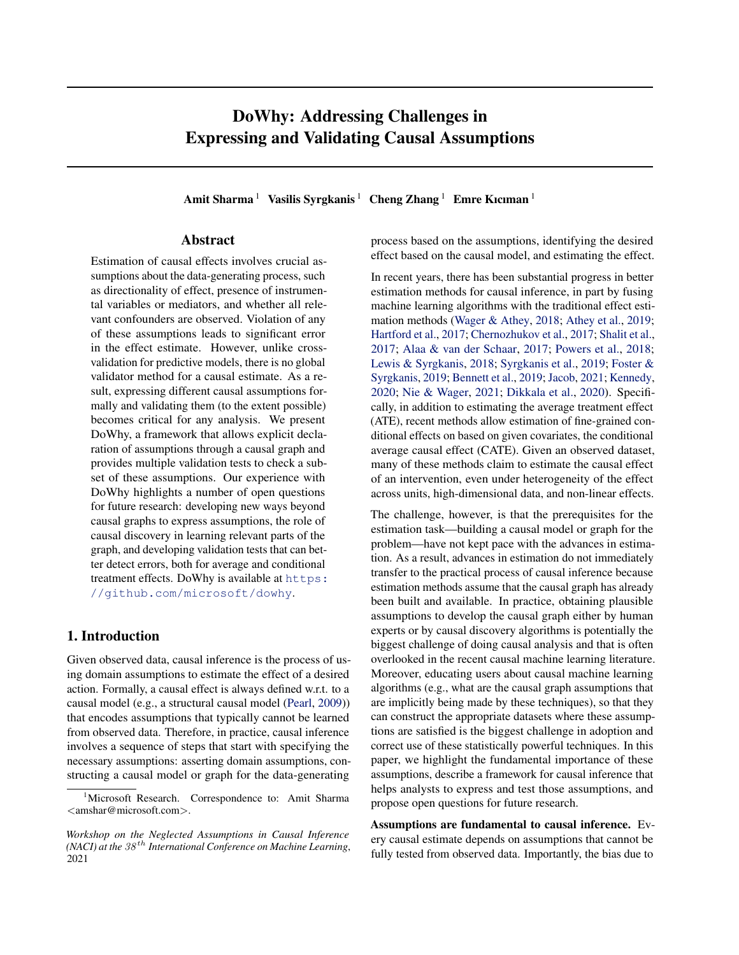# DoWhy: Addressing Challenges in Expressing and Validating Causal Assumptions

Amit Sharma<sup>1</sup> Vasilis Syrgkanis<sup>1</sup> Cheng Zhang<sup>1</sup> Emre Kıcıman<sup>1</sup>

## Abstract

Estimation of causal effects involves crucial assumptions about the data-generating process, such as directionality of effect, presence of instrumental variables or mediators, and whether all relevant confounders are observed. Violation of any of these assumptions leads to significant error in the effect estimate. However, unlike crossvalidation for predictive models, there is no global validator method for a causal estimate. As a result, expressing different causal assumptions formally and validating them (to the extent possible) becomes critical for any analysis. We present DoWhy, a framework that allows explicit declaration of assumptions through a causal graph and provides multiple validation tests to check a subset of these assumptions. Our experience with DoWhy highlights a number of open questions for future research: developing new ways beyond causal graphs to express assumptions, the role of causal discovery in learning relevant parts of the graph, and developing validation tests that can better detect errors, both for average and conditional treatment effects. DoWhy is available at [https:](https://github.com/microsoft/dowhy) [//github.com/microsoft/dowhy](https://github.com/microsoft/dowhy).

## 1. Introduction

Given observed data, causal inference is the process of using domain assumptions to estimate the effect of a desired action. Formally, a causal effect is always defined w.r.t. to a causal model (e.g., a structural causal model [\(Pearl,](#page-7-0) [2009\)](#page-7-0)) that encodes assumptions that typically cannot be learned from observed data. Therefore, in practice, causal inference involves a sequence of steps that start with specifying the necessary assumptions: asserting domain assumptions, constructing a causal model or graph for the data-generating

process based on the assumptions, identifying the desired effect based on the causal model, and estimating the effect.

In recent years, there has been substantial progress in better estimation methods for causal inference, in part by fusing machine learning algorithms with the traditional effect estimation methods [\(Wager & Athey,](#page-7-0) [2018;](#page-7-0) [Athey et al.,](#page-6-0) [2019;](#page-6-0) [Hartford et al.,](#page-6-0) [2017;](#page-6-0) [Chernozhukov et al.,](#page-6-0) [2017;](#page-6-0) [Shalit et al.,](#page-7-0) [2017;](#page-7-0) [Alaa & van der Schaar,](#page-6-0) [2017;](#page-6-0) [Powers et al.,](#page-7-0) [2018;](#page-7-0) [Lewis & Syrgkanis,](#page-6-0) [2018;](#page-6-0) [Syrgkanis et al.,](#page-7-0) [2019;](#page-7-0) [Foster &](#page-6-0) [Syrgkanis,](#page-6-0) [2019;](#page-6-0) [Bennett et al.,](#page-6-0) [2019;](#page-6-0) [Jacob,](#page-6-0) [2021;](#page-6-0) [Kennedy,](#page-6-0) [2020;](#page-6-0) [Nie & Wager,](#page-7-0) [2021;](#page-7-0) [Dikkala et al.,](#page-6-0) [2020\)](#page-6-0). Specifically, in addition to estimating the average treatment effect (ATE), recent methods allow estimation of fine-grained conditional effects on based on given covariates, the conditional average causal effect (CATE). Given an observed dataset, many of these methods claim to estimate the causal effect of an intervention, even under heterogeneity of the effect across units, high-dimensional data, and non-linear effects.

The challenge, however, is that the prerequisites for the estimation task—building a causal model or graph for the problem—have not kept pace with the advances in estimation. As a result, advances in estimation do not immediately transfer to the practical process of causal inference because estimation methods assume that the causal graph has already been built and available. In practice, obtaining plausible assumptions to develop the causal graph either by human experts or by causal discovery algorithms is potentially the biggest challenge of doing causal analysis and that is often overlooked in the recent causal machine learning literature. Moreover, educating users about causal machine learning algorithms (e.g., what are the causal graph assumptions that are implicitly being made by these techniques), so that they can construct the appropriate datasets where these assumptions are satisfied is the biggest challenge in adoption and correct use of these statistically powerful techniques. In this paper, we highlight the fundamental importance of these assumptions, describe a framework for causal inference that helps analysts to express and test those assumptions, and propose open questions for future research.

Assumptions are fundamental to causal inference. Every causal estimate depends on assumptions that cannot be fully tested from observed data. Importantly, the bias due to

<sup>&</sup>lt;sup>1</sup>Microsoft Research. Correspondence to: Amit Sharma <amshar@microsoft.com>.

*Workshop on the Neglected Assumptions in Causal Inference (NACI) at the* 38 th *International Conference on Machine Learning*, 2021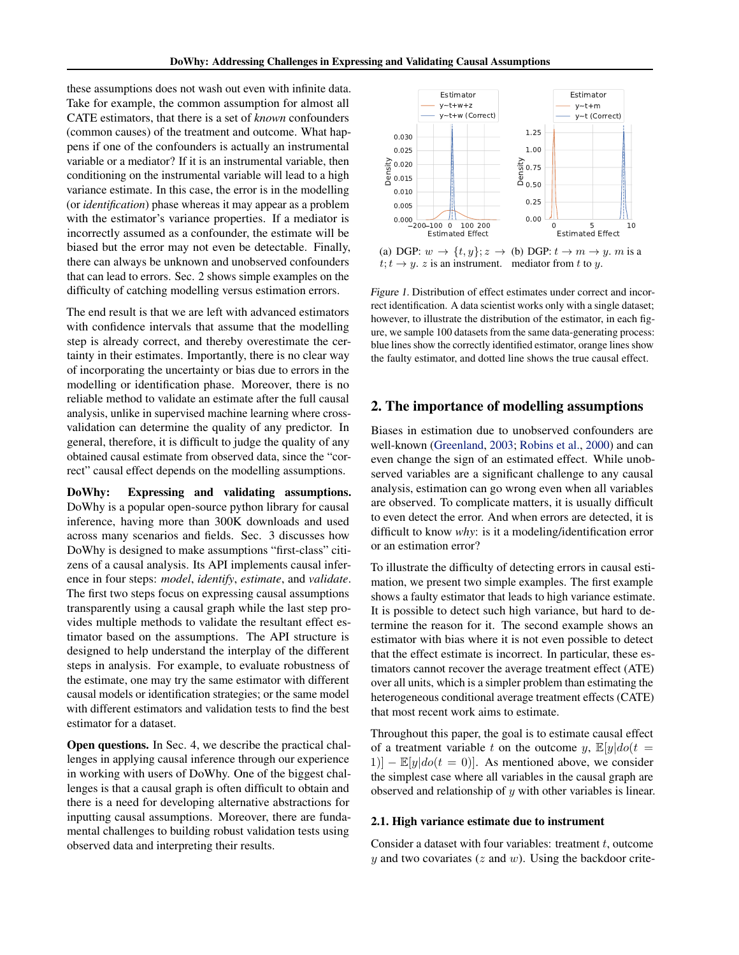<span id="page-1-0"></span>these assumptions does not wash out even with infinite data. Take for example, the common assumption for almost all CATE estimators, that there is a set of *known* confounders (common causes) of the treatment and outcome. What happens if one of the confounders is actually an instrumental variable or a mediator? If it is an instrumental variable, then conditioning on the instrumental variable will lead to a high variance estimate. In this case, the error is in the modelling (or *identification*) phase whereas it may appear as a problem with the estimator's variance properties. If a mediator is incorrectly assumed as a confounder, the estimate will be biased but the error may not even be detectable. Finally, there can always be unknown and unobserved confounders that can lead to errors. Sec. 2 shows simple examples on the difficulty of catching modelling versus estimation errors.

The end result is that we are left with advanced estimators with confidence intervals that assume that the modelling step is already correct, and thereby overestimate the certainty in their estimates. Importantly, there is no clear way of incorporating the uncertainty or bias due to errors in the modelling or identification phase. Moreover, there is no reliable method to validate an estimate after the full causal analysis, unlike in supervised machine learning where crossvalidation can determine the quality of any predictor. In general, therefore, it is difficult to judge the quality of any obtained causal estimate from observed data, since the "correct" causal effect depends on the modelling assumptions.

DoWhy: Expressing and validating assumptions. DoWhy is a popular open-source python library for causal inference, having more than 300K downloads and used across many scenarios and fields. Sec. 3 discusses how DoWhy is designed to make assumptions "first-class" citizens of a causal analysis. Its API implements causal inference in four steps: *model*, *identify*, *estimate*, and *validate*. The first two steps focus on expressing causal assumptions transparently using a causal graph while the last step provides multiple methods to validate the resultant effect estimator based on the assumptions. The API structure is designed to help understand the interplay of the different steps in analysis. For example, to evaluate robustness of the estimate, one may try the same estimator with different causal models or identification strategies; or the same model with different estimators and validation tests to find the best estimator for a dataset.

Open questions. In Sec. 4, we describe the practical challenges in applying causal inference through our experience in working with users of DoWhy. One of the biggest challenges is that a causal graph is often difficult to obtain and there is a need for developing alternative abstractions for inputting causal assumptions. Moreover, there are fundamental challenges to building robust validation tests using observed data and interpreting their results.



 $t; t \rightarrow y$ . z is an instrument. mediator from t to y.

Figure 1. Distribution of effect estimates under correct and incorrect identification. A data scientist works only with a single dataset; however, to illustrate the distribution of the estimator, in each figure, we sample 100 datasets from the same data-generating process: blue lines show the correctly identified estimator, orange lines show the faulty estimator, and dotted line shows the true causal effect.

## 2. The importance of modelling assumptions

Biases in estimation due to unobserved confounders are well-known [\(Greenland,](#page-6-0) [2003;](#page-6-0) [Robins et al.,](#page-7-0) [2000\)](#page-7-0) and can even change the sign of an estimated effect. While unobserved variables are a significant challenge to any causal analysis, estimation can go wrong even when all variables are observed. To complicate matters, it is usually difficult to even detect the error. And when errors are detected, it is difficult to know *why*: is it a modeling/identification error or an estimation error?

To illustrate the difficulty of detecting errors in causal estimation, we present two simple examples. The first example shows a faulty estimator that leads to high variance estimate. It is possible to detect such high variance, but hard to determine the reason for it. The second example shows an estimator with bias where it is not even possible to detect that the effect estimate is incorrect. In particular, these estimators cannot recover the average treatment effect (ATE) over all units, which is a simpler problem than estimating the heterogeneous conditional average treatment effects (CATE) that most recent work aims to estimate.

Throughout this paper, the goal is to estimate causal effect of a treatment variable t on the outcome y,  $\mathbb{E}[y]do(t)$  $|1\rangle$ ] –  $\mathbb{E}[y|do(t=0)]$ . As mentioned above, we consider the simplest case where all variables in the causal graph are observed and relationship of  $y$  with other variables is linear.

#### 2.1. High variance estimate due to instrument

Consider a dataset with four variables: treatment  $t$ , outcome  $y$  and two covariates ( $z$  and  $w$ ). Using the backdoor crite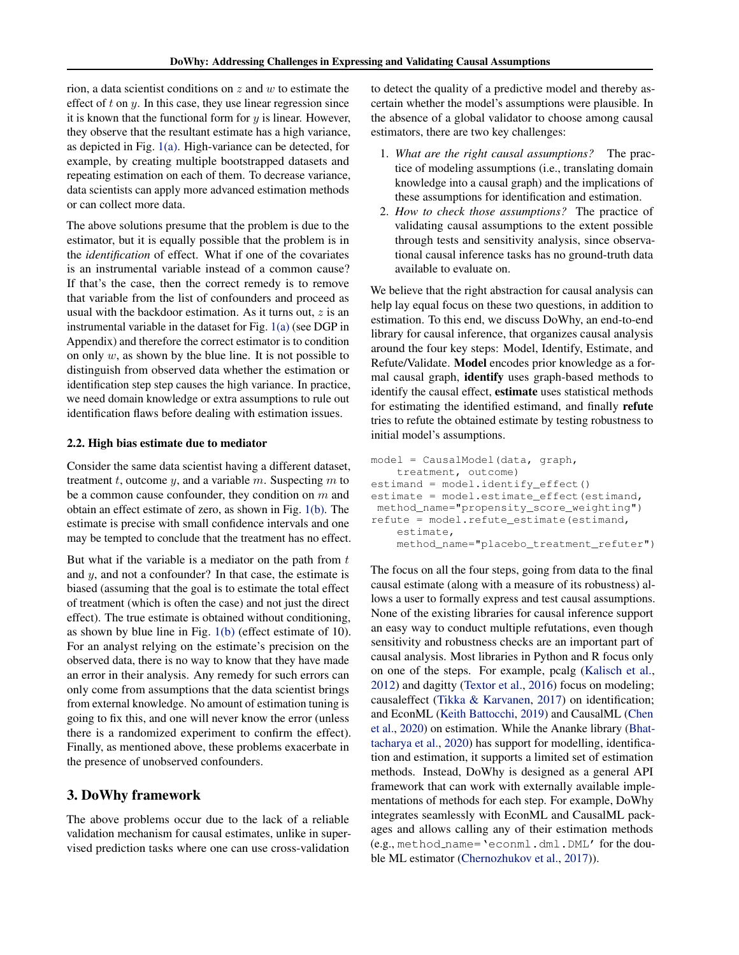rion, a data scientist conditions on  $z$  and  $w$  to estimate the effect of  $t$  on  $y$ . In this case, they use linear regression since it is known that the functional form for  $y$  is linear. However, they observe that the resultant estimate has a high variance, as depicted in Fig. [1\(a\).](#page-1-0) High-variance can be detected, for example, by creating multiple bootstrapped datasets and repeating estimation on each of them. To decrease variance, data scientists can apply more advanced estimation methods or can collect more data.

The above solutions presume that the problem is due to the estimator, but it is equally possible that the problem is in the *identification* of effect. What if one of the covariates is an instrumental variable instead of a common cause? If that's the case, then the correct remedy is to remove that variable from the list of confounders and proceed as usual with the backdoor estimation. As it turns out,  $z$  is an instrumental variable in the dataset for Fig. [1\(a\)](#page-1-0) (see DGP in Appendix) and therefore the correct estimator is to condition on only  $w$ , as shown by the blue line. It is not possible to distinguish from observed data whether the estimation or identification step step causes the high variance. In practice, we need domain knowledge or extra assumptions to rule out identification flaws before dealing with estimation issues.

### 2.2. High bias estimate due to mediator

Consider the same data scientist having a different dataset, treatment t, outcome y, and a variable m. Suspecting m to be a common cause confounder, they condition on  $m$  and obtain an effect estimate of zero, as shown in Fig. [1\(b\).](#page-1-0) The estimate is precise with small confidence intervals and one may be tempted to conclude that the treatment has no effect.

But what if the variable is a mediator on the path from  $t$ and y, and not a confounder? In that case, the estimate is biased (assuming that the goal is to estimate the total effect of treatment (which is often the case) and not just the direct effect). The true estimate is obtained without conditioning, as shown by blue line in Fig. [1\(b\)](#page-1-0) (effect estimate of 10). For an analyst relying on the estimate's precision on the observed data, there is no way to know that they have made an error in their analysis. Any remedy for such errors can only come from assumptions that the data scientist brings from external knowledge. No amount of estimation tuning is going to fix this, and one will never know the error (unless there is a randomized experiment to confirm the effect). Finally, as mentioned above, these problems exacerbate in the presence of unobserved confounders.

# 3. DoWhy framework

The above problems occur due to the lack of a reliable validation mechanism for causal estimates, unlike in supervised prediction tasks where one can use cross-validation

to detect the quality of a predictive model and thereby ascertain whether the model's assumptions were plausible. In the absence of a global validator to choose among causal estimators, there are two key challenges:

- 1. *What are the right causal assumptions?* The practice of modeling assumptions (i.e., translating domain knowledge into a causal graph) and the implications of these assumptions for identification and estimation.
- 2. *How to check those assumptions?* The practice of validating causal assumptions to the extent possible through tests and sensitivity analysis, since observational causal inference tasks has no ground-truth data available to evaluate on.

We believe that the right abstraction for causal analysis can help lay equal focus on these two questions, in addition to estimation. To this end, we discuss DoWhy, an end-to-end library for causal inference, that organizes causal analysis around the four key steps: Model, Identify, Estimate, and Refute/Validate. Model encodes prior knowledge as a formal causal graph, identify uses graph-based methods to identify the causal effect, estimate uses statistical methods for estimating the identified estimand, and finally refute tries to refute the obtained estimate by testing robustness to initial model's assumptions.

```
model = CausalModel(data, graph,
    treatment, outcome)
estimand = model.identify_effect()
estimate = model.estimate_effect(estimand,
method_name="propensity_score_weighting")
refute = model.refute_estimate(estimand,
    estimate,
    method_name="placebo_treatment_refuter")
```
The focus on all the four steps, going from data to the final causal estimate (along with a measure of its robustness) allows a user to formally express and test causal assumptions. None of the existing libraries for causal inference support an easy way to conduct multiple refutations, even though sensitivity and robustness checks are an important part of causal analysis. Most libraries in Python and R focus only on one of the steps. For example, pcalg [\(Kalisch et al.,](#page-6-0) [2012\)](#page-6-0) and dagitty [\(Textor et al.,](#page-7-0) [2016\)](#page-7-0) focus on modeling; causaleffect [\(Tikka & Karvanen,](#page-7-0) [2017\)](#page-7-0) on identification; and EconML [\(Keith Battocchi,](#page-6-0) [2019\)](#page-6-0) and CausalML [\(Chen](#page-6-0) [et al.,](#page-6-0) [2020\)](#page-6-0) on estimation. While the Ananke library [\(Bhat](#page-6-0)[tacharya et al.,](#page-6-0) [2020\)](#page-6-0) has support for modelling, identification and estimation, it supports a limited set of estimation methods. Instead, DoWhy is designed as a general API framework that can work with externally available implementations of methods for each step. For example, DoWhy integrates seamlessly with EconML and CausalML packages and allows calling any of their estimation methods (e.g., method name='econml.dml.DML' for the double ML estimator [\(Chernozhukov et al.,](#page-6-0) [2017\)](#page-6-0)).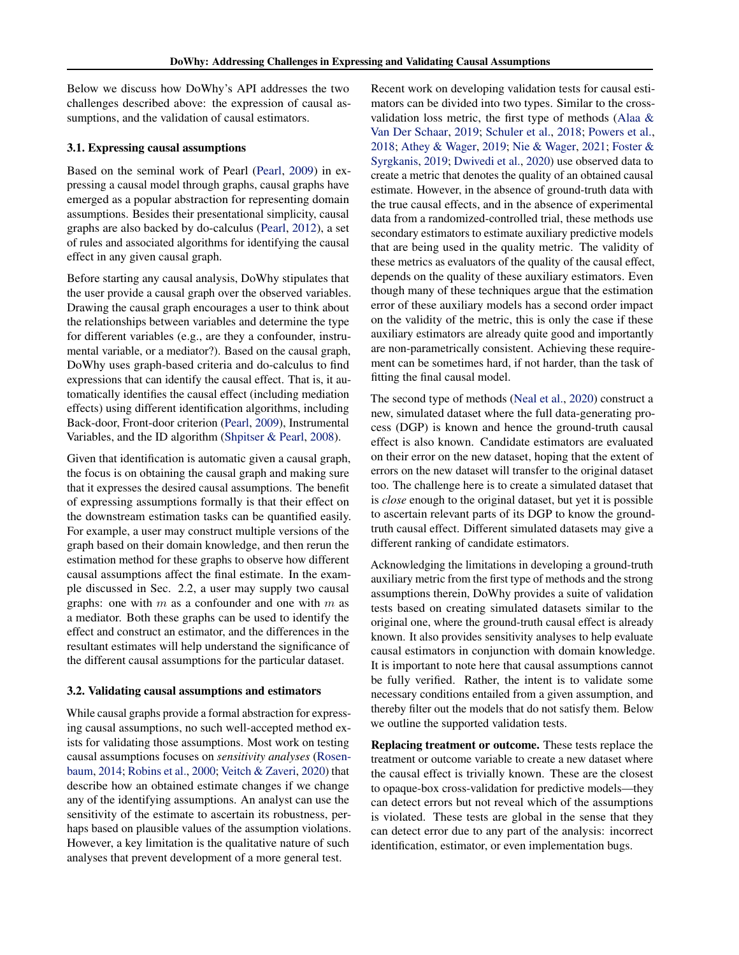Below we discuss how DoWhy's API addresses the two challenges described above: the expression of causal assumptions, and the validation of causal estimators.

#### 3.1. Expressing causal assumptions

Based on the seminal work of Pearl [\(Pearl,](#page-7-0) [2009\)](#page-7-0) in expressing a causal model through graphs, causal graphs have emerged as a popular abstraction for representing domain assumptions. Besides their presentational simplicity, causal graphs are also backed by do-calculus [\(Pearl,](#page-7-0) [2012\)](#page-7-0), a set of rules and associated algorithms for identifying the causal effect in any given causal graph.

Before starting any causal analysis, DoWhy stipulates that the user provide a causal graph over the observed variables. Drawing the causal graph encourages a user to think about the relationships between variables and determine the type for different variables (e.g., are they a confounder, instrumental variable, or a mediator?). Based on the causal graph, DoWhy uses graph-based criteria and do-calculus to find expressions that can identify the causal effect. That is, it automatically identifies the causal effect (including mediation effects) using different identification algorithms, including Back-door, Front-door criterion [\(Pearl,](#page-7-0) [2009\)](#page-7-0), Instrumental Variables, and the ID algorithm [\(Shpitser & Pearl,](#page-7-0) [2008\)](#page-7-0).

Given that identification is automatic given a causal graph, the focus is on obtaining the causal graph and making sure that it expresses the desired causal assumptions. The benefit of expressing assumptions formally is that their effect on the downstream estimation tasks can be quantified easily. For example, a user may construct multiple versions of the graph based on their domain knowledge, and then rerun the estimation method for these graphs to observe how different causal assumptions affect the final estimate. In the example discussed in Sec. 2.2, a user may supply two causal graphs: one with  $m$  as a confounder and one with  $m$  as a mediator. Both these graphs can be used to identify the effect and construct an estimator, and the differences in the resultant estimates will help understand the significance of the different causal assumptions for the particular dataset.

#### 3.2. Validating causal assumptions and estimators

While causal graphs provide a formal abstraction for expressing causal assumptions, no such well-accepted method exists for validating those assumptions. Most work on testing causal assumptions focuses on *sensitivity analyses* [\(Rosen](#page-7-0)[baum,](#page-7-0) [2014;](#page-7-0) [Robins et al.,](#page-7-0) [2000;](#page-7-0) [Veitch & Zaveri,](#page-7-0) [2020\)](#page-7-0) that describe how an obtained estimate changes if we change any of the identifying assumptions. An analyst can use the sensitivity of the estimate to ascertain its robustness, perhaps based on plausible values of the assumption violations. However, a key limitation is the qualitative nature of such analyses that prevent development of a more general test.

Recent work on developing validation tests for causal estimators can be divided into two types. Similar to the crossvalidation loss metric, the first type of methods [\(Alaa &](#page-6-0) [Van Der Schaar,](#page-6-0) [2019;](#page-6-0) [Schuler et al.,](#page-7-0) [2018;](#page-7-0) [Powers et al.,](#page-7-0) [2018;](#page-7-0) [Athey & Wager,](#page-6-0) [2019;](#page-6-0) [Nie & Wager,](#page-7-0) [2021;](#page-7-0) [Foster &](#page-6-0) [Syrgkanis,](#page-6-0) [2019;](#page-6-0) [Dwivedi et al.,](#page-6-0) [2020\)](#page-6-0) use observed data to create a metric that denotes the quality of an obtained causal estimate. However, in the absence of ground-truth data with the true causal effects, and in the absence of experimental data from a randomized-controlled trial, these methods use secondary estimators to estimate auxiliary predictive models that are being used in the quality metric. The validity of these metrics as evaluators of the quality of the causal effect, depends on the quality of these auxiliary estimators. Even though many of these techniques argue that the estimation error of these auxiliary models has a second order impact on the validity of the metric, this is only the case if these auxiliary estimators are already quite good and importantly are non-parametrically consistent. Achieving these requirement can be sometimes hard, if not harder, than the task of fitting the final causal model.

The second type of methods [\(Neal et al.,](#page-6-0) [2020\)](#page-6-0) construct a new, simulated dataset where the full data-generating process (DGP) is known and hence the ground-truth causal effect is also known. Candidate estimators are evaluated on their error on the new dataset, hoping that the extent of errors on the new dataset will transfer to the original dataset too. The challenge here is to create a simulated dataset that is *close* enough to the original dataset, but yet it is possible to ascertain relevant parts of its DGP to know the groundtruth causal effect. Different simulated datasets may give a different ranking of candidate estimators.

Acknowledging the limitations in developing a ground-truth auxiliary metric from the first type of methods and the strong assumptions therein, DoWhy provides a suite of validation tests based on creating simulated datasets similar to the original one, where the ground-truth causal effect is already known. It also provides sensitivity analyses to help evaluate causal estimators in conjunction with domain knowledge. It is important to note here that causal assumptions cannot be fully verified. Rather, the intent is to validate some necessary conditions entailed from a given assumption, and thereby filter out the models that do not satisfy them. Below we outline the supported validation tests.

Replacing treatment or outcome. These tests replace the treatment or outcome variable to create a new dataset where the causal effect is trivially known. These are the closest to opaque-box cross-validation for predictive models—they can detect errors but not reveal which of the assumptions is violated. These tests are global in the sense that they can detect error due to any part of the analysis: incorrect identification, estimator, or even implementation bugs.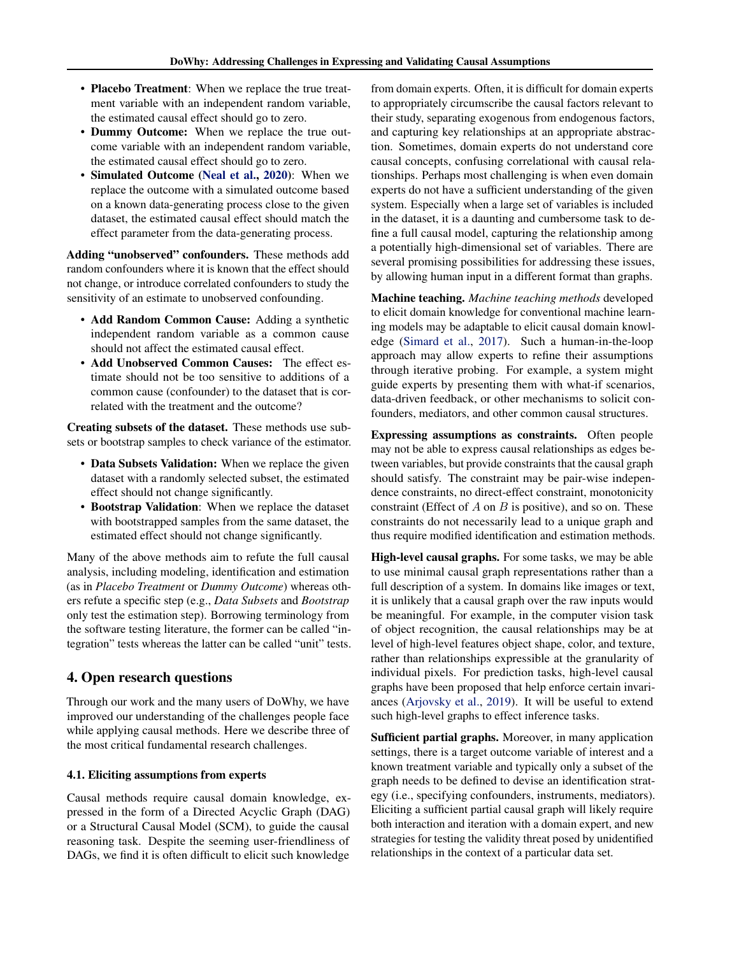- Placebo Treatment: When we replace the true treatment variable with an independent random variable, the estimated causal effect should go to zero.
- Dummy Outcome: When we replace the true outcome variable with an independent random variable, the estimated causal effect should go to zero.
- Simulated Outcome [\(Neal et al.,](#page-6-0) [2020\)](#page-6-0): When we replace the outcome with a simulated outcome based on a known data-generating process close to the given dataset, the estimated causal effect should match the effect parameter from the data-generating process.

Adding "unobserved" confounders. These methods add random confounders where it is known that the effect should not change, or introduce correlated confounders to study the sensitivity of an estimate to unobserved confounding.

- Add Random Common Cause: Adding a synthetic independent random variable as a common cause should not affect the estimated causal effect.
- Add Unobserved Common Causes: The effect estimate should not be too sensitive to additions of a common cause (confounder) to the dataset that is correlated with the treatment and the outcome?

Creating subsets of the dataset. These methods use subsets or bootstrap samples to check variance of the estimator.

- Data Subsets Validation: When we replace the given dataset with a randomly selected subset, the estimated effect should not change significantly.
- Bootstrap Validation: When we replace the dataset with bootstrapped samples from the same dataset, the estimated effect should not change significantly.

Many of the above methods aim to refute the full causal analysis, including modeling, identification and estimation (as in *Placebo Treatment* or *Dummy Outcome*) whereas others refute a specific step (e.g., *Data Subsets* and *Bootstrap* only test the estimation step). Borrowing terminology from the software testing literature, the former can be called "integration" tests whereas the latter can be called "unit" tests.

# 4. Open research questions

Through our work and the many users of DoWhy, we have improved our understanding of the challenges people face while applying causal methods. Here we describe three of the most critical fundamental research challenges.

### 4.1. Eliciting assumptions from experts

Causal methods require causal domain knowledge, expressed in the form of a Directed Acyclic Graph (DAG) or a Structural Causal Model (SCM), to guide the causal reasoning task. Despite the seeming user-friendliness of DAGs, we find it is often difficult to elicit such knowledge

from domain experts. Often, it is difficult for domain experts to appropriately circumscribe the causal factors relevant to their study, separating exogenous from endogenous factors, and capturing key relationships at an appropriate abstraction. Sometimes, domain experts do not understand core causal concepts, confusing correlational with causal relationships. Perhaps most challenging is when even domain experts do not have a sufficient understanding of the given system. Especially when a large set of variables is included in the dataset, it is a daunting and cumbersome task to define a full causal model, capturing the relationship among a potentially high-dimensional set of variables. There are several promising possibilities for addressing these issues, by allowing human input in a different format than graphs.

Machine teaching. *Machine teaching methods* developed to elicit domain knowledge for conventional machine learning models may be adaptable to elicit causal domain knowledge [\(Simard et al.,](#page-7-0) [2017\)](#page-7-0). Such a human-in-the-loop approach may allow experts to refine their assumptions through iterative probing. For example, a system might guide experts by presenting them with what-if scenarios, data-driven feedback, or other mechanisms to solicit confounders, mediators, and other common causal structures.

Expressing assumptions as constraints. Often people may not be able to express causal relationships as edges between variables, but provide constraints that the causal graph should satisfy. The constraint may be pair-wise independence constraints, no direct-effect constraint, monotonicity constraint (Effect of  $A$  on  $B$  is positive), and so on. These constraints do not necessarily lead to a unique graph and thus require modified identification and estimation methods.

High-level causal graphs. For some tasks, we may be able to use minimal causal graph representations rather than a full description of a system. In domains like images or text, it is unlikely that a causal graph over the raw inputs would be meaningful. For example, in the computer vision task of object recognition, the causal relationships may be at level of high-level features object shape, color, and texture, rather than relationships expressible at the granularity of individual pixels. For prediction tasks, high-level causal graphs have been proposed that help enforce certain invariances [\(Arjovsky et al.,](#page-6-0) [2019\)](#page-6-0). It will be useful to extend such high-level graphs to effect inference tasks.

Sufficient partial graphs. Moreover, in many application settings, there is a target outcome variable of interest and a known treatment variable and typically only a subset of the graph needs to be defined to devise an identification strategy (i.e., specifying confounders, instruments, mediators). Eliciting a sufficient partial causal graph will likely require both interaction and iteration with a domain expert, and new strategies for testing the validity threat posed by unidentified relationships in the context of a particular data set.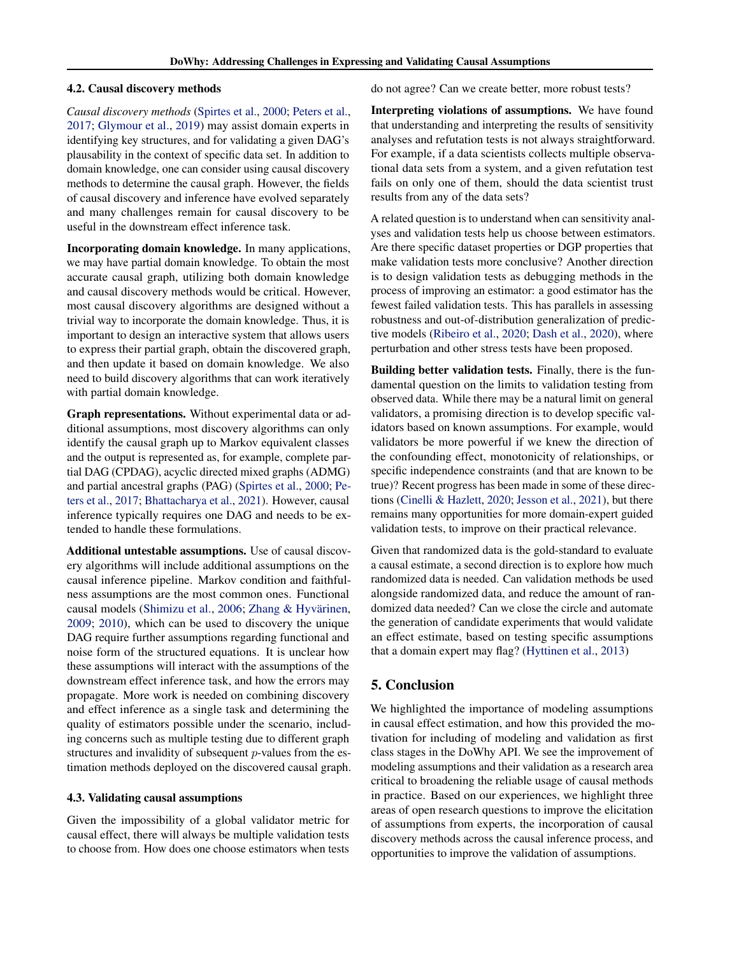### 4.2. Causal discovery methods

*Causal discovery methods* [\(Spirtes et al.,](#page-7-0) [2000;](#page-7-0) [Peters et al.,](#page-7-0) [2017;](#page-7-0) [Glymour et al.,](#page-6-0) [2019\)](#page-6-0) may assist domain experts in identifying key structures, and for validating a given DAG's plausability in the context of specific data set. In addition to domain knowledge, one can consider using causal discovery methods to determine the causal graph. However, the fields of causal discovery and inference have evolved separately and many challenges remain for causal discovery to be useful in the downstream effect inference task.

Incorporating domain knowledge. In many applications, we may have partial domain knowledge. To obtain the most accurate causal graph, utilizing both domain knowledge and causal discovery methods would be critical. However, most causal discovery algorithms are designed without a trivial way to incorporate the domain knowledge. Thus, it is important to design an interactive system that allows users to express their partial graph, obtain the discovered graph, and then update it based on domain knowledge. We also need to build discovery algorithms that can work iteratively with partial domain knowledge.

Graph representations. Without experimental data or additional assumptions, most discovery algorithms can only identify the causal graph up to Markov equivalent classes and the output is represented as, for example, complete partial DAG (CPDAG), acyclic directed mixed graphs (ADMG) and partial ancestral graphs (PAG) [\(Spirtes et al.,](#page-7-0) [2000;](#page-7-0) [Pe](#page-7-0)[ters et al.,](#page-7-0) [2017;](#page-7-0) [Bhattacharya et al.,](#page-6-0) [2021\)](#page-6-0). However, causal inference typically requires one DAG and needs to be extended to handle these formulations.

Additional untestable assumptions. Use of causal discovery algorithms will include additional assumptions on the causal inference pipeline. Markov condition and faithfulness assumptions are the most common ones. Functional causal models [\(Shimizu et al.,](#page-7-0) [2006;](#page-7-0) Zhang & Hyvärinen, [2009;](#page-7-0) [2010\)](#page-7-0), which can be used to discovery the unique DAG require further assumptions regarding functional and noise form of the structured equations. It is unclear how these assumptions will interact with the assumptions of the downstream effect inference task, and how the errors may propagate. More work is needed on combining discovery and effect inference as a single task and determining the quality of estimators possible under the scenario, including concerns such as multiple testing due to different graph structures and invalidity of subsequent *p*-values from the estimation methods deployed on the discovered causal graph.

#### 4.3. Validating causal assumptions

Given the impossibility of a global validator metric for causal effect, there will always be multiple validation tests to choose from. How does one choose estimators when tests

do not agree? Can we create better, more robust tests?

Interpreting violations of assumptions. We have found that understanding and interpreting the results of sensitivity analyses and refutation tests is not always straightforward. For example, if a data scientists collects multiple observational data sets from a system, and a given refutation test fails on only one of them, should the data scientist trust results from any of the data sets?

A related question is to understand when can sensitivity analyses and validation tests help us choose between estimators. Are there specific dataset properties or DGP properties that make validation tests more conclusive? Another direction is to design validation tests as debugging methods in the process of improving an estimator: a good estimator has the fewest failed validation tests. This has parallels in assessing robustness and out-of-distribution generalization of predictive models [\(Ribeiro et al.,](#page-7-0) [2020;](#page-7-0) [Dash et al.,](#page-6-0) [2020\)](#page-6-0), where perturbation and other stress tests have been proposed.

Building better validation tests. Finally, there is the fundamental question on the limits to validation testing from observed data. While there may be a natural limit on general validators, a promising direction is to develop specific validators based on known assumptions. For example, would validators be more powerful if we knew the direction of the confounding effect, monotonicity of relationships, or specific independence constraints (and that are known to be true)? Recent progress has been made in some of these directions [\(Cinelli & Hazlett,](#page-6-0) [2020;](#page-6-0) [Jesson et al.,](#page-6-0) [2021\)](#page-6-0), but there remains many opportunities for more domain-expert guided validation tests, to improve on their practical relevance.

Given that randomized data is the gold-standard to evaluate a causal estimate, a second direction is to explore how much randomized data is needed. Can validation methods be used alongside randomized data, and reduce the amount of randomized data needed? Can we close the circle and automate the generation of candidate experiments that would validate an effect estimate, based on testing specific assumptions that a domain expert may flag? [\(Hyttinen et al.,](#page-6-0) [2013\)](#page-6-0)

# 5. Conclusion

We highlighted the importance of modeling assumptions in causal effect estimation, and how this provided the motivation for including of modeling and validation as first class stages in the DoWhy API. We see the improvement of modeling assumptions and their validation as a research area critical to broadening the reliable usage of causal methods in practice. Based on our experiences, we highlight three areas of open research questions to improve the elicitation of assumptions from experts, the incorporation of causal discovery methods across the causal inference process, and opportunities to improve the validation of assumptions.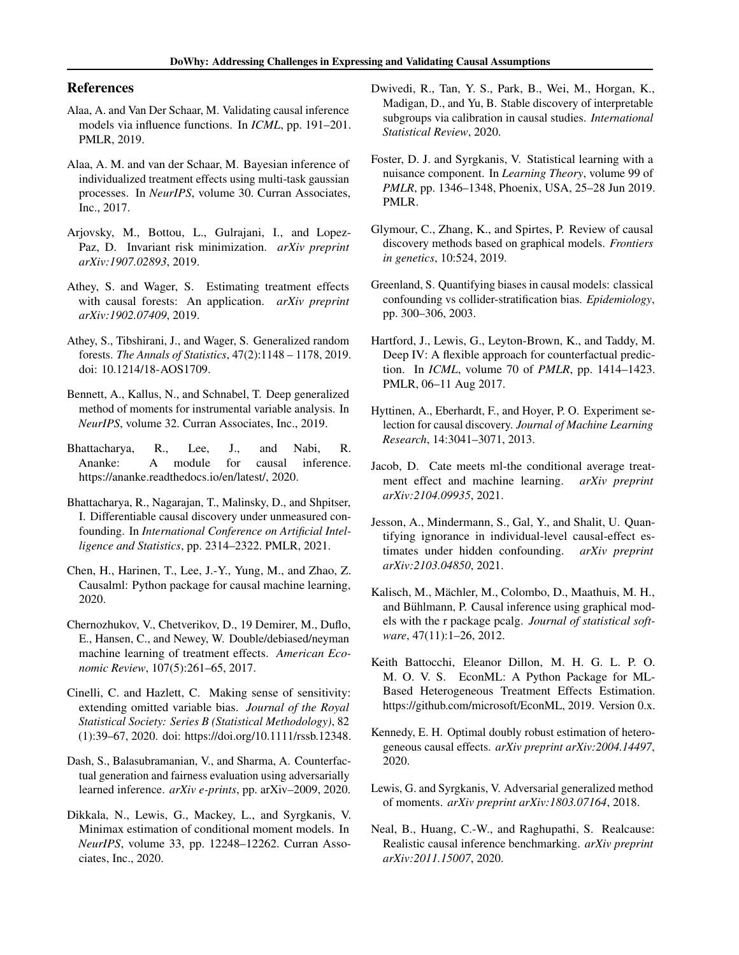### <span id="page-6-0"></span>References

- Alaa, A. and Van Der Schaar, M. Validating causal inference models via influence functions. In *ICML*, pp. 191–201. PMLR, 2019.
- Alaa, A. M. and van der Schaar, M. Bayesian inference of individualized treatment effects using multi-task gaussian processes. In *NeurIPS*, volume 30. Curran Associates, Inc., 2017.
- Arjovsky, M., Bottou, L., Gulrajani, I., and Lopez-Paz, D. Invariant risk minimization. *arXiv preprint arXiv:1907.02893*, 2019.
- Athey, S. and Wager, S. Estimating treatment effects with causal forests: An application. *arXiv preprint arXiv:1902.07409*, 2019.
- Athey, S., Tibshirani, J., and Wager, S. Generalized random forests. *The Annals of Statistics*, 47(2):1148 – 1178, 2019. doi: 10.1214/18-AOS1709.
- Bennett, A., Kallus, N., and Schnabel, T. Deep generalized method of moments for instrumental variable analysis. In *NeurIPS*, volume 32. Curran Associates, Inc., 2019.
- Bhattacharya, R., Lee, J., and Nabi, R. Ananke: A module for causal inference. https://ananke.readthedocs.io/en/latest/, 2020.
- Bhattacharya, R., Nagarajan, T., Malinsky, D., and Shpitser, I. Differentiable causal discovery under unmeasured confounding. In *International Conference on Artificial Intelligence and Statistics*, pp. 2314–2322. PMLR, 2021.
- Chen, H., Harinen, T., Lee, J.-Y., Yung, M., and Zhao, Z. Causalml: Python package for causal machine learning, 2020.
- Chernozhukov, V., Chetverikov, D., 19 Demirer, M., Duflo, E., Hansen, C., and Newey, W. Double/debiased/neyman machine learning of treatment effects. *American Economic Review*, 107(5):261–65, 2017.
- Cinelli, C. and Hazlett, C. Making sense of sensitivity: extending omitted variable bias. *Journal of the Royal Statistical Society: Series B (Statistical Methodology)*, 82 (1):39–67, 2020. doi: https://doi.org/10.1111/rssb.12348.
- Dash, S., Balasubramanian, V., and Sharma, A. Counterfactual generation and fairness evaluation using adversarially learned inference. *arXiv e-prints*, pp. arXiv–2009, 2020.
- Dikkala, N., Lewis, G., Mackey, L., and Syrgkanis, V. Minimax estimation of conditional moment models. In *NeurIPS*, volume 33, pp. 12248–12262. Curran Associates, Inc., 2020.
- Dwivedi, R., Tan, Y. S., Park, B., Wei, M., Horgan, K., Madigan, D., and Yu, B. Stable discovery of interpretable subgroups via calibration in causal studies. *International Statistical Review*, 2020.
- Foster, D. J. and Syrgkanis, V. Statistical learning with a nuisance component. In *Learning Theory*, volume 99 of *PMLR*, pp. 1346–1348, Phoenix, USA, 25–28 Jun 2019. PMLR.
- Glymour, C., Zhang, K., and Spirtes, P. Review of causal discovery methods based on graphical models. *Frontiers in genetics*, 10:524, 2019.
- Greenland, S. Quantifying biases in causal models: classical confounding vs collider-stratification bias. *Epidemiology*, pp. 300–306, 2003.
- Hartford, J., Lewis, G., Leyton-Brown, K., and Taddy, M. Deep IV: A flexible approach for counterfactual prediction. In *ICML*, volume 70 of *PMLR*, pp. 1414–1423. PMLR, 06–11 Aug 2017.
- Hyttinen, A., Eberhardt, F., and Hoyer, P. O. Experiment selection for causal discovery. *Journal of Machine Learning Research*, 14:3041–3071, 2013.
- Jacob, D. Cate meets ml-the conditional average treatment effect and machine learning. *arXiv preprint arXiv:2104.09935*, 2021.
- Jesson, A., Mindermann, S., Gal, Y., and Shalit, U. Quantifying ignorance in individual-level causal-effect estimates under hidden confounding. *arXiv preprint arXiv:2103.04850*, 2021.
- Kalisch, M., Mächler, M., Colombo, D., Maathuis, M. H., and Bühlmann, P. Causal inference using graphical models with the r package pcalg. *Journal of statistical software*, 47(11):1–26, 2012.
- Keith Battocchi, Eleanor Dillon, M. H. G. L. P. O. M. O. V. S. EconML: A Python Package for ML-Based Heterogeneous Treatment Effects Estimation. https://github.com/microsoft/EconML, 2019. Version 0.x.
- Kennedy, E. H. Optimal doubly robust estimation of heterogeneous causal effects. *arXiv preprint arXiv:2004.14497*, 2020.
- Lewis, G. and Syrgkanis, V. Adversarial generalized method of moments. *arXiv preprint arXiv:1803.07164*, 2018.
- Neal, B., Huang, C.-W., and Raghupathi, S. Realcause: Realistic causal inference benchmarking. *arXiv preprint arXiv:2011.15007*, 2020.